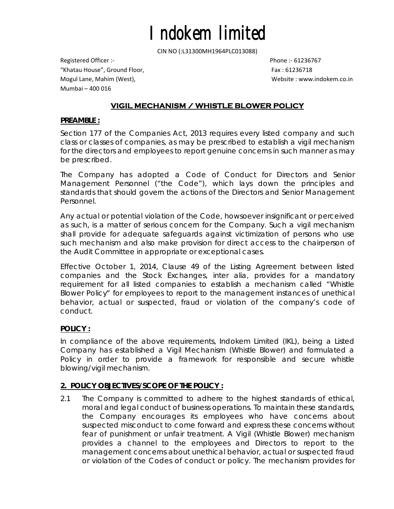CIN NO (:L31300MH1964PLC013088)

Registered Officer :‐ Phone :‐ 61236767 "Khatau House", Ground Floor, Fax : 61236718 Mogul Lane, Mahim (West), Website : www.indokem.co.in Mumbai – 400 016

# **VIGIL MECHANISM / WHISTLE BLOWER POLICY**

#### **PREAMBLE :**

Section 177 of the Companies Act, 2013 requires every listed company and such class or classes of companies, as may be prescribed to establish a vigil mechanism for the directors and employees to report genuine concerns in such manner as may be prescribed.

The Company has adopted a Code of Conduct for Directors and Senior Management Personnel ("the Code"), which lays down the principles and standards that should govern the actions of the Directors and Senior Management Personnel.

Any actual or potential violation of the Code, howsoever insignificant or perceived as such, is a matter of serious concern for the Company. Such a vigil mechanism shall provide for adequate safeguards against victimization of persons who use such mechanism and also make provision for direct access to the chairperson of the Audit Committee in appropriate or exceptional cases.

Effective October 1, 2014, Clause 49 of the Listing Agreement between listed companies and the Stock Exchanges, *inter alia,* provides for a mandatory requirement for all listed companies to establish a mechanism called "Whistle Blower Policy" for employees to report to the management instances of unethical behavior, actual or suspected, fraud or violation of the company's code of conduct.

### **POLICY :**

In compliance of the above requirements, Indokem Limited (IKL), being a Listed Company has established a Vigil Mechanism (Whistle Blower) and formulated a Policy in order to provide a framework for responsible and secure whistle blowing/vigil mechanism.

### **2. POLICY OBJECTIVES/SCOPE OF THE POLICY :**

2.1 The Company is committed to adhere to the highest standards of ethical, moral and legal conduct of business operations. To maintain these standards, the Company encourages its employees who have concerns about suspected misconduct to come forward and express these concerns without fear of punishment or unfair treatment. A Vigil (Whistle Blower) mechanism provides a channel to the employees and Directors to report to the management concerns about unethical behavior, actual or suspected fraud or violation of the Codes of conduct or policy. The mechanism provides for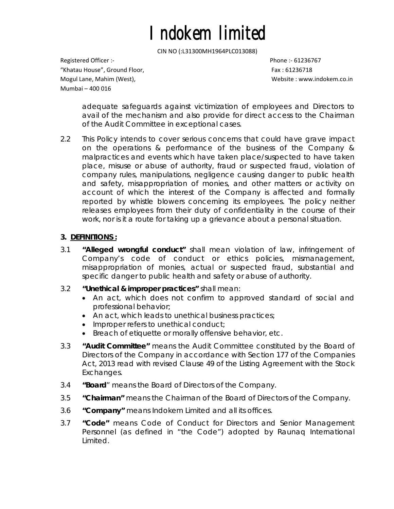CIN NO (:L31300MH1964PLC013088)

Registered Officer :‐ Phone :‐ 61236767 "Khatau House", Ground Floor, Fax : 61236718 Mogul Lane, Mahim (West), Website : www.indokem.co.in Mumbai – 400 016

adequate safeguards against victimization of employees and Directors to avail of the mechanism and also provide for direct access to the Chairman of the Audit Committee in exceptional cases.

2.2 This Policy intends to cover serious concerns that could have grave impact on the operations & performance of the business of the Company & malpractices and events which have taken place/suspected to have taken place, misuse or abuse of authority, fraud or suspected fraud, violation of company rules, manipulations, negligence causing danger to public health and safety, misappropriation of monies, and other matters or activity on account of which the interest of the Company is affected and formally reported by whistle blowers concerning its employees. The policy neither releases employees from their duty of confidentiality in the course of their work, nor is it a route for taking up a grievance about a personal situation.

# **3. DEFINITIONS :**

- 3.1 **"Alleged wrongful conduct"** shall mean violation of law, infringement of Company's code of conduct or ethics policies, mismanagement, misappropriation of monies, actual or suspected fraud, substantial and specific danger to public health and safety or abuse of authority.
- 3.2 **"Unethical & improper practices"** shall mean:
	- *An act, which does not confirm to approved standard of social and professional behavior;*
	- *An act, which leads to unethical business practices;*
	- *Improper refers to unethical conduct;*
	- *Breach of etiquette or morally offensive behavior, etc.*
- 3.3 **"Audit Committee"** means the Audit Committee constituted by the Board of Directors of the Company in accordance with Section 177 of the Companies Act, 2013 read with revised Clause 49 of the Listing Agreement with the Stock Exchanges.
- 3.4 **"Board**" means the Board of Directors of the Company.
- 3.5 **"Chairman"** means the Chairman of the Board of Directors of the Company.
- 3.6 **"Company"** means Indokem Limited and all its offices.
- 3.7 **"Code"** means Code of Conduct for Directors and Senior Management Personnel (as defined in "the Code") adopted by Raunaq International Limited.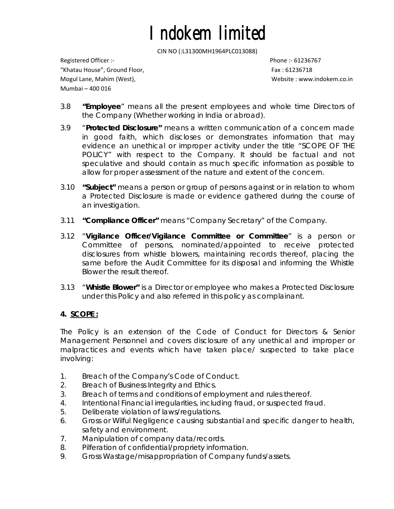CIN NO (:L31300MH1964PLC013088)

Registered Officer :‐ Phone :‐ 61236767 "Khatau House", Ground Floor, Fax : 61236718 Mogul Lane, Mahim (West), Website : www.indokem.co.in Mumbai – 400 016

- 3.8 **"Employee**" means all the present employees and whole time Directors of the Company (Whether working in India or abroad).
- 3.9 "**Protected Disclosure"** means a written communication of a concern made in good faith, which discloses or demonstrates information that may evidence an unethical or improper activity under the title "SCOPE OF THE POLICY" with respect to the Company. It should be factual and not speculative and should contain as much specific information as possible to allow for proper assessment of the nature and extent of the concern.
- 3.10 **"Subject"** means a person or group of persons against or in relation to whom a Protected Disclosure is made or evidence gathered during the course of an investigation.
- 3.11 **"Compliance Officer"** means "Company Secretary" of the Company.
- 3.12 "**Vigilance Officer/Vigilance Committee or Committee**" is a person or Committee of persons, nominated/appointed to receive protected disclosures from whistle blowers, maintaining records thereof, placing the same before the Audit Committee for its disposal and informing the Whistle Blower the result thereof.
- 3.13 "**Whistle Blower"** is a Director or employee who makes a Protected Disclosure under this Policy and also referred in this policy as complainant.

### **4. SCOPE :**

The Policy is an extension of the Code of Conduct for Directors & Senior Management Personnel and covers disclosure of any unethical and improper or malpractices and events which have taken place/ suspected to take place involving:

- 1. Breach of the Company's Code of Conduct.
- 2. Breach of Business Integrity and Ethics.
- 3. Breach of terms and conditions of employment and rules thereof.
- 4. Intentional Financial irregularities, including fraud, or suspected fraud.
- 5. Deliberate violation of laws/regulations.
- 6. Gross or Wilful Negligence causing substantial and specific danger to health, safety and environment.
- 7. Manipulation of company data/records.
- 8. Pilferation of confidential/propriety information.
- 9. Gross Wastage/misappropriation of Company funds/assets.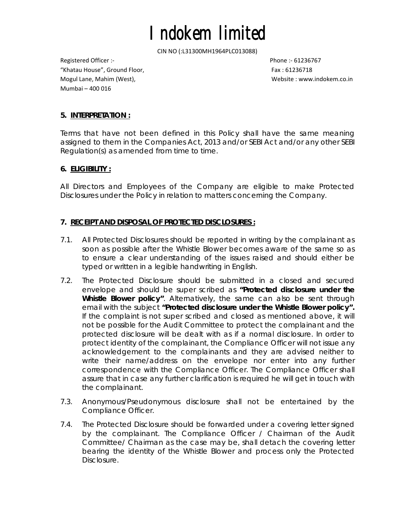CIN NO (:L31300MH1964PLC013088)

Registered Officer :‐ Phone :‐ 61236767 "Khatau House", Ground Floor, Fax : 61236718 Mogul Lane, Mahim (West), Website : www.indokem.co.in Mumbai – 400 016

## **5. INTERPRETATION :**

Terms that have not been defined in this Policy shall have the same meaning assigned to them in the Companies Act, 2013 and/or SEBI Act and/or any other SEBI Regulation(s) as amended from time to time.

## **6. ELIGIBILITY :**

All Directors and Employees of the Company are eligible to make Protected Disclosures under the Policy in relation to matters concerning the Company.

## **7. RECEIPT AND DISPOSAL OF PROTECTED DISCLOSURES :**

- 7.1. All Protected Disclosures should be reported in writing by the complainant as soon as possible after the Whistle Blower becomes aware of the same so as to ensure a clear understanding of the issues raised and should either be typed or written in a legible handwriting in English.
- 7.2. The Protected Disclosure should be submitted in a closed and secured envelope and should be super scribed as **"Protected disclosure under the Whistle Blower policy"**. Alternatively, the same can also be sent through email with the subject **"Protected disclosure under the Whistle Blower policy".**  If the complaint is not super scribed and closed as mentioned above, it will not be possible for the Audit Committee to protect the complainant and the protected disclosure will be dealt with as if a normal disclosure. In order to protect identity of the complainant, the Compliance Officer will not issue any acknowledgement to the complainants and they are advised neither to write their name/address on the envelope nor enter into any further correspondence with the Compliance Officer. The Compliance Officer shall assure that in case any further clarification is required he will get in touch with the complainant.
- 7.3. Anonymous/Pseudonymous disclosure shall not be entertained by the Compliance Officer.
- 7.4. The Protected Disclosure should be forwarded under a covering letter signed by the complainant. The Compliance Officer / Chairman of the Audit Committee/ Chairman as the case may be, shall detach the covering letter bearing the identity of the Whistle Blower and process only the Protected Disclosure.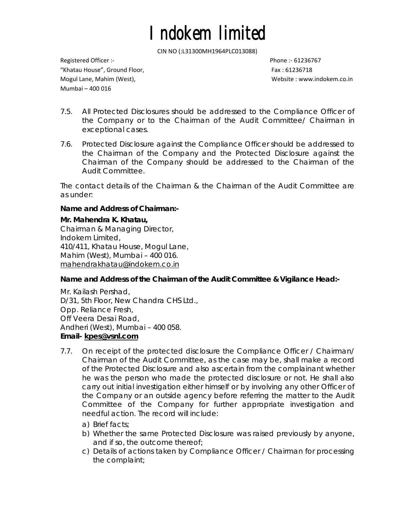CIN NO (:L31300MH1964PLC013088)

Registered Officer :‐ Phone :‐ 61236767 "Khatau House", Ground Floor, Fax : 61236718 Mogul Lane, Mahim (West), Website : www.indokem.co.in Mumbai – 400 016

- 7.5. All Protected Disclosures should be addressed to the Compliance Officer of the Company or to the Chairman of the Audit Committee/ Chairman in exceptional cases.
- 7.6. Protected Disclosure against the Compliance Officer should be addressed to the Chairman of the Company and the Protected Disclosure against the Chairman of the Company should be addressed to the Chairman of the Audit Committee.

The contact details of the Chairman & the Chairman of the Audit Committee are as under:

## **Name and Address of Chairman:-**

## **Mr. Mahendra K. Khatau,**

Chairman & Managing Director, Indokem Limited, 410/411, Khatau House, Mogul Lane, Mahim (West), Mumbai – 400 016. mahendrakhatau@indokem.co.in

# **Name and Address of the Chairman of the Audit Committee & Vigilance Head:-**

Mr. Kailash Pershad, D/31, 5th Floor, New Chandra CHS Ltd., Opp. Reliance Fresh, Off Veera Desai Road, Andheri (West), Mumbai – 400 058. **Email- kpes@vsnl.com**

- 7.7. On receipt of the protected disclosure the Compliance Officer / Chairman/ Chairman of the Audit Committee, as the case may be, shall make a record of the Protected Disclosure and also ascertain from the complainant whether he was the person who made the protected disclosure or not. He shall also carry out initial investigation either himself or by involving any other Officer of the Company or an outside agency before referring the matter to the Audit Committee of the Company for further appropriate investigation and needful action. The record will include:
	- a) Brief facts;
	- b) Whether the same Protected Disclosure was raised previously by anyone, and if so, the outcome thereof;
	- c) Details of actions taken by Compliance Officer / Chairman for processing the complaint;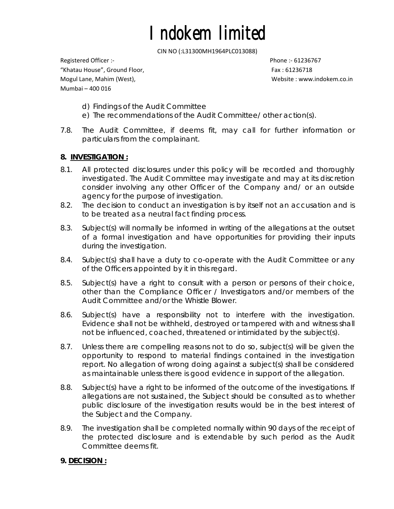CIN NO (:L31300MH1964PLC013088)

Registered Officer :‐ Phone :‐ 61236767 "Khatau House", Ground Floor, Fax : 61236718 Mogul Lane, Mahim (West), Website : www.indokem.co.in Mumbai – 400 016

- d) Findings of the Audit Committee
- e) The recommendations of the Audit Committee/ other action(s).
- 7.8. The Audit Committee, if deems fit, may call for further information or particulars from the complainant.

### **8. INVESTIGATION :**

- 8.1. All protected disclosures under this policy will be recorded and thoroughly investigated. The Audit Committee may investigate and may at its discretion consider involving any other Officer of the Company and/ or an outside agency for the purpose of investigation.
- 8.2. The decision to conduct an investigation is by itself not an accusation and is to be treated as a neutral fact finding process.
- 8.3. Subject(s) will normally be informed in writing of the allegations at the outset of a formal investigation and have opportunities for providing their inputs during the investigation.
- 8.4. Subject(s) shall have a duty to co-operate with the Audit Committee or any of the Officers appointed by it in this regard.
- 8.5. Subject(s) have a right to consult with a person or persons of their choice, other than the Compliance Officer / Investigators and/or members of the Audit Committee and/or the Whistle Blower.
- 8.6. Subject(s) have a responsibility not to interfere with the investigation. Evidence shall not be withheld, destroyed or tampered with and witness shall not be influenced, coached, threatened or intimidated by the subject(s).
- 8.7. Unless there are compelling reasons not to do so, subject(s) will be given the opportunity to respond to material findings contained in the investigation report. No allegation of wrong doing against a subject(s) shall be considered as maintainable unless there is good evidence in support of the allegation.
- 8.8. Subject(s) have a right to be informed of the outcome of the investigations. If allegations are not sustained, the Subject should be consulted as to whether public disclosure of the investigation results would be in the best interest of the Subject and the Company.
- 8.9. The investigation shall be completed normally within 90 days of the receipt of the protected disclosure and is extendable by such period as the Audit Committee deems fit.

### **9. DECISION :**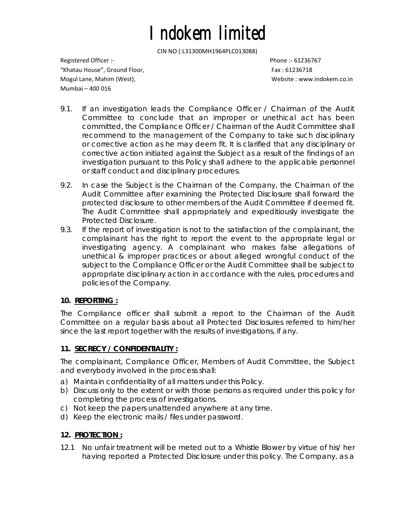CIN NO (:L31300MH1964PLC013088)

Registered Officer :‐ Phone :‐ 61236767 "Khatau House", Ground Floor, Fax : 61236718 Mogul Lane, Mahim (West), Website : www.indokem.co.in Mumbai – 400 016

- 9.1. If an investigation leads the Compliance Officer / Chairman of the Audit Committee to conclude that an improper or unethical act has been committed, the Compliance Officer / Chairman of the Audit Committee shall recommend to the management of the Company to take such disciplinary or corrective action as he may deem fit. It is clarified that any disciplinary or corrective action initiated against the Subject as a result of the findings of an investigation pursuant to this Policy shall adhere to the applicable personnel or staff conduct and disciplinary procedures.
- 9.2. In case the Subject is the Chairman of the Company, the Chairman of the Audit Committee after examining the Protected Disclosure shall forward the protected disclosure to other members of the Audit Committee if deemed fit. The Audit Committee shall appropriately and expeditiously investigate the Protected Disclosure.
- 9.3. If the report of investigation is not to the satisfaction of the complainant, the complainant has the right to report the event to the appropriate legal or investigating agency. A complainant who makes false allegations of unethical & improper practices or about alleged wrongful conduct of the subject to the Compliance Officer or the Audit Committee shall be subject to appropriate disciplinary action in accordance with the rules, procedures and policies of the Company.

# **10. REPORTING :**

The Compliance officer shall submit a report to the Chairman of the Audit Committee on a regular basis about all Protected Disclosures referred to him/her since the last report together with the results of investigations, if any.

# **11. SECRECY / CONFIDENTIALITY :**

The complainant, Compliance Officer, Members of Audit Committee, the Subject and everybody involved in the process shall:

- a) *Maintain confidentiality of all matters under this Policy.*
- b) *Discuss only to the extent or with those persons as required under this policy for completing the process of investigations.*
- c) *Not keep the papers unattended anywhere at any time.*
- d) *Keep the electronic mails / files under password.*

# **12. PROTECTION :**

12.1 No unfair treatment will be meted out to a Whistle Blower by virtue of his/ her having reported a Protected Disclosure under this policy. The Company, as a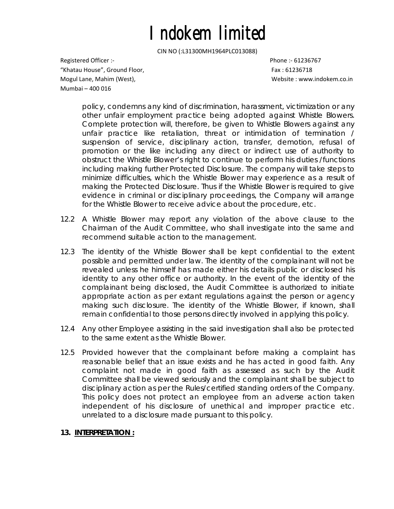CIN NO (:L31300MH1964PLC013088)

Registered Officer :‐ Phone :‐ 61236767 "Khatau House", Ground Floor, Fax : 61236718 Mogul Lane, Mahim (West), Website : www.indokem.co.in Mumbai – 400 016

policy, condemns any kind of discrimination, harassment, victimization or any other unfair employment practice being adopted against Whistle Blowers. Complete protection will, therefore, be given to Whistle Blowers against any unfair practice like retaliation, threat or intimidation of termination / suspension of service, disciplinary action, transfer, demotion, refusal of promotion or the like including any direct or indirect use of authority to obstruct the Whistle Blower's right to continue to perform his duties /functions including making further Protected Disclosure. The company will take steps to minimize difficulties, which the Whistle Blower may experience as a result of making the Protected Disclosure. Thus if the Whistle Blower is required to give evidence in criminal or disciplinary proceedings, the Company will arrange for the Whistle Blower to receive advice about the procedure, etc.

- 12.2 A Whistle Blower may report any violation of the above clause to the Chairman of the Audit Committee, who shall investigate into the same and recommend suitable action to the management.
- 12.3 The identity of the Whistle Blower shall be kept confidential to the extent possible and permitted under law. The identity of the complainant will not be revealed unless he himself has made either his details public or disclosed his identity to any other office or authority. In the event of the identity of the complainant being disclosed, the Audit Committee is authorized to initiate appropriate action as per extant regulations against the person or agency making such disclosure. The identity of the Whistle Blower, if known, shall remain confidential to those persons directly involved in applying this policy.
- 12.4 Any other Employee assisting in the said investigation shall also be protected to the same extent as the Whistle Blower.
- 12.5 Provided however that the complainant before making a complaint has reasonable belief that an issue exists and he has acted in good faith. Any complaint not made in good faith as assessed as such by the Audit Committee shall be viewed seriously and the complainant shall be subject to disciplinary action as per the Rules/certified standing orders of the Company. This policy does not protect an employee from an adverse action taken independent of his disclosure of unethical and improper practice etc. unrelated to a disclosure made pursuant to this policy.

### **13. INTERPRETATION :**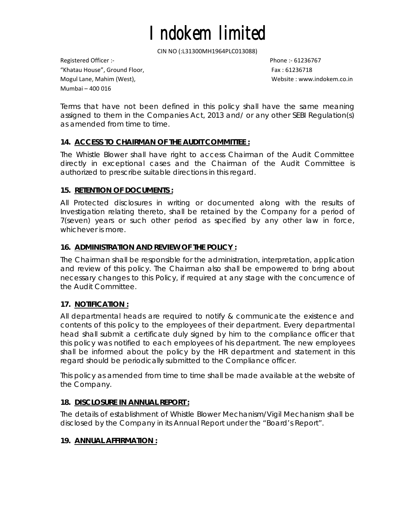CIN NO (:L31300MH1964PLC013088)

Registered Officer :‐ Phone :‐ 61236767 "Khatau House", Ground Floor, Fax : 61236718 Mogul Lane, Mahim (West), Website : www.indokem.co.in Mumbai – 400 016

Terms that have not been defined in this policy shall have the same meaning assigned to them in the Companies Act, 2013 and/ or any other SEBI Regulation(s) as amended from time to time.

## **14. ACCESS TO CHAIRMAN OF THE AUDIT COMMITTEE :**

The Whistle Blower shall have right to access Chairman of the Audit Committee directly in exceptional cases and the Chairman of the Audit Committee is authorized to prescribe suitable directions in this regard.

### **15. RETENTION OF DOCUMENTS :**

All Protected disclosures in writing or documented along with the results of Investigation relating thereto, shall be retained by the Company for a period of 7(seven) years or such other period as specified by any other law in force, whichever is more.

### **16. ADMINISTRATION AND REVIEW OF THE POLICY :**

The Chairman shall be responsible for the administration, interpretation, application and review of this policy. The Chairman also shall be empowered to bring about necessary changes to this Policy, if required at any stage with the concurrence of the Audit Committee.

### **17. NOTIFICATION :**

All departmental heads are required to notify & communicate the existence and contents of this policy to the employees of their department. Every departmental head shall submit a certificate duly signed by him to the compliance officer that this policy was notified to each employees of his department. The new employees shall be informed about the policy by the HR department and statement in this regard should be periodically submitted to the Compliance officer.

This policy as amended from time to time shall be made available at the website of the Company.

### **18. DISCLOSURE IN ANNUAL REPORT :**

The details of establishment of Whistle Blower Mechanism/Vigil Mechanism shall be disclosed by the Company in its Annual Report under the "Board's Report".

### **19. ANNUAL AFFIRMATION :**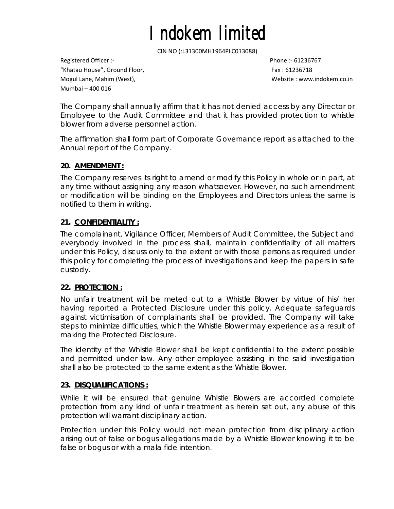CIN NO (:L31300MH1964PLC013088)

Registered Officer :‐ Phone :‐ 61236767 "Khatau House", Ground Floor, Fax : 61236718 Mogul Lane, Mahim (West), Website : www.indokem.co.in Mumbai – 400 016

The Company shall annually affirm that it has not denied access by any Director or Employee to the Audit Committee and that it has provided protection to whistle blower from adverse personnel action.

The affirmation shall form part of Corporate Governance report as attached to the Annual report of the Company.

# **20. AMENDMENT :**

The Company reserves its right to amend or modify this Policy in whole or in part, at any time without assigning any reason whatsoever. However, no such amendment or modification will be binding on the Employees and Directors unless the same is notified to them in writing.

# **21. CONFIDENTIALITY :**

The complainant, Vigilance Officer, Members of Audit Committee, the Subject and everybody involved in the process shall, maintain confidentiality of all matters under this Policy, discuss only to the extent or with those persons as required under this policy for completing the process of investigations and keep the papers in safe custody.

### **22. PROTECTION :**

No unfair treatment will be meted out to a Whistle Blower by virtue of his/ her having reported a Protected Disclosure under this policy. Adequate safeguards against victimisation of complainants shall be provided. The Company will take steps to minimize difficulties, which the Whistle Blower may experience as a result of making the Protected Disclosure.

The identity of the Whistle Blower shall be kept confidential to the extent possible and permitted under law. Any other employee assisting in the said investigation shall also be protected to the same extent as the Whistle Blower.

### **23. DISQUALIFICATIONS :**

While it will be ensured that genuine Whistle Blowers are accorded complete protection from any kind of unfair treatment as herein set out, any abuse of this protection will warrant disciplinary action.

Protection under this Policy would not mean protection from disciplinary action arising out of false or bogus allegations made by a Whistle Blower knowing it to be false or bogus or with a mala fide intention.